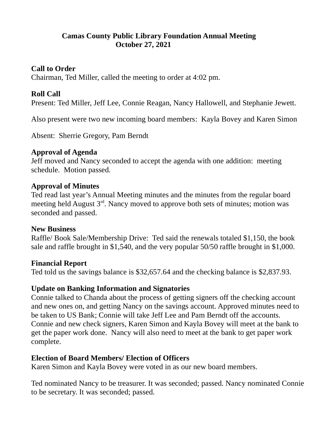## **Camas County Public Library Foundation Annual Meeting October 27, 2021**

#### **Call to Order**

Chairman, Ted Miller, called the meeting to order at 4:02 pm.

### **Roll Call**

Present: Ted Miller, Jeff Lee, Connie Reagan, Nancy Hallowell, and Stephanie Jewett.

Also present were two new incoming board members: Kayla Bovey and Karen Simon

Absent: Sherrie Gregory, Pam Berndt

### **Approval of Agenda**

Jeff moved and Nancy seconded to accept the agenda with one addition: meeting schedule. Motion passed.

#### **Approval of Minutes**

Ted read last year's Annual Meeting minutes and the minutes from the regular board meeting held August 3<sup>rd</sup>. Nancy moved to approve both sets of minutes; motion was seconded and passed.

### **New Business**

Raffle/ Book Sale/Membership Drive: Ted said the renewals totaled \$1,150, the book sale and raffle brought in \$1,540, and the very popular 50/50 raffle brought in \$1,000.

### **Financial Report**

Ted told us the savings balance is \$32,657.64 and the checking balance is \$2,837.93.

### **Update on Banking Information and Signatories**

Connie talked to Chanda about the process of getting signers off the checking account and new ones on, and getting Nancy on the savings account. Approved minutes need to be taken to US Bank; Connie will take Jeff Lee and Pam Berndt off the accounts. Connie and new check signers, Karen Simon and Kayla Bovey will meet at the bank to get the paper work done. Nancy will also need to meet at the bank to get paper work complete.

### **Election of Board Members/ Election of Officers**

Karen Simon and Kayla Bovey were voted in as our new board members.

Ted nominated Nancy to be treasurer. It was seconded; passed. Nancy nominated Connie to be secretary. It was seconded; passed.